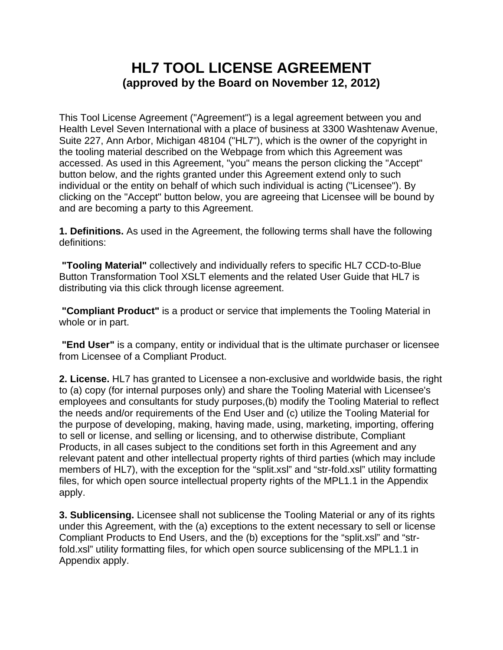# **HL7 TOOL LICENSE AGREEMENT (approved by the Board on November 12, 2012)**

This Tool License Agreement ("Agreement") is a legal agreement between you and Health Level Seven International with a place of business at 3300 Washtenaw Avenue, Suite 227, Ann Arbor, Michigan 48104 ("HL7"), which is the owner of the copyright in the tooling material described on the Webpage from which this Agreement was accessed. As used in this Agreement, "you" means the person clicking the "Accept" button below, and the rights granted under this Agreement extend only to such individual or the entity on behalf of which such individual is acting ("Licensee"). By clicking on the "Accept" button below, you are agreeing that Licensee will be bound by and are becoming a party to this Agreement.

**1. Definitions.** As used in the Agreement, the following terms shall have the following definitions:

**"Tooling Material"** collectively and individually refers to specific HL7 CCD-to-Blue Button Transformation Tool XSLT elements and the related User Guide that HL7 is distributing via this click through license agreement.

**"Compliant Product"** is a product or service that implements the Tooling Material in whole or in part.

**"End User"** is a company, entity or individual that is the ultimate purchaser or licensee from Licensee of a Compliant Product.

**2. License.** HL7 has granted to Licensee a non-exclusive and worldwide basis, the right to (a) copy (for internal purposes only) and share the Tooling Material with Licensee's employees and consultants for study purposes,(b) modify the Tooling Material to reflect the needs and/or requirements of the End User and (c) utilize the Tooling Material for the purpose of developing, making, having made, using, marketing, importing, offering to sell or license, and selling or licensing, and to otherwise distribute, Compliant Products, in all cases subject to the conditions set forth in this Agreement and any relevant patent and other intellectual property rights of third parties (which may include members of HL7), with the exception for the "split.xsl" and "str-fold.xsl" utility formatting files, for which open source intellectual property rights of the MPL1.1 in the Appendix apply.

**3. Sublicensing.** Licensee shall not sublicense the Tooling Material or any of its rights under this Agreement, with the (a) exceptions to the extent necessary to sell or license Compliant Products to End Users, and the (b) exceptions for the "split.xsl" and "strfold.xsl" utility formatting files, for which open source sublicensing of the MPL1.1 in Appendix apply.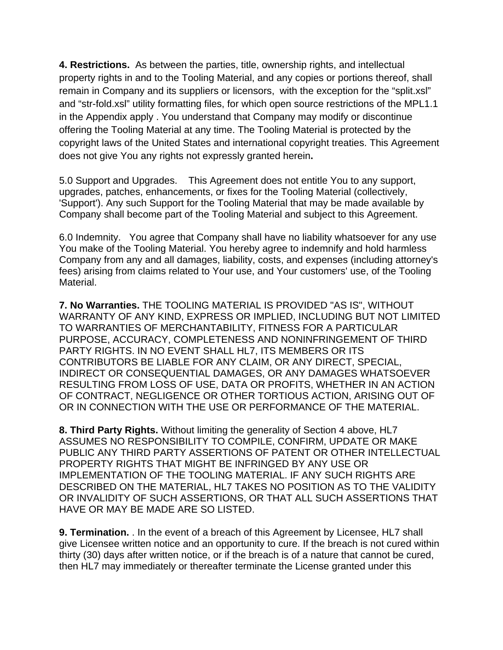**4. Restrictions.** As between the parties, title, ownership rights, and intellectual property rights in and to the Tooling Material, and any copies or portions thereof, shall remain in Company and its suppliers or licensors, with the exception for the "split.xsl" and "str-fold.xsl" utility formatting files, for which open source restrictions of the MPL1.1 in the Appendix apply . You understand that Company may modify or discontinue offering the Tooling Material at any time. The Tooling Material is protected by the copyright laws of the United States and international copyright treaties. This Agreement does not give You any rights not expressly granted herein**.** 

5.0 Support and Upgrades. This Agreement does not entitle You to any support, upgrades, patches, enhancements, or fixes for the Tooling Material (collectively, 'Support'). Any such Support for the Tooling Material that may be made available by Company shall become part of the Tooling Material and subject to this Agreement.

6.0 Indemnity. You agree that Company shall have no liability whatsoever for any use You make of the Tooling Material. You hereby agree to indemnify and hold harmless Company from any and all damages, liability, costs, and expenses (including attorney's fees) arising from claims related to Your use, and Your customers' use, of the Tooling Material.

**7. No Warranties.** THE TOOLING MATERIAL IS PROVIDED "AS IS", WITHOUT WARRANTY OF ANY KIND, EXPRESS OR IMPLIED, INCLUDING BUT NOT LIMITED TO WARRANTIES OF MERCHANTABILITY, FITNESS FOR A PARTICULAR PURPOSE, ACCURACY, COMPLETENESS AND NONINFRINGEMENT OF THIRD PARTY RIGHTS. IN NO EVENT SHALL HL7, ITS MEMBERS OR ITS CONTRIBUTORS BE LIABLE FOR ANY CLAIM, OR ANY DIRECT, SPECIAL, INDIRECT OR CONSEQUENTIAL DAMAGES, OR ANY DAMAGES WHATSOEVER RESULTING FROM LOSS OF USE, DATA OR PROFITS, WHETHER IN AN ACTION OF CONTRACT, NEGLIGENCE OR OTHER TORTIOUS ACTION, ARISING OUT OF OR IN CONNECTION WITH THE USE OR PERFORMANCE OF THE MATERIAL.

**8. Third Party Rights.** Without limiting the generality of Section 4 above, HL7 ASSUMES NO RESPONSIBILITY TO COMPILE, CONFIRM, UPDATE OR MAKE PUBLIC ANY THIRD PARTY ASSERTIONS OF PATENT OR OTHER INTELLECTUAL PROPERTY RIGHTS THAT MIGHT BE INFRINGED BY ANY USE OR IMPLEMENTATION OF THE TOOLING MATERIAL. IF ANY SUCH RIGHTS ARE DESCRIBED ON THE MATERIAL, HL7 TAKES NO POSITION AS TO THE VALIDITY OR INVALIDITY OF SUCH ASSERTIONS, OR THAT ALL SUCH ASSERTIONS THAT HAVE OR MAY BE MADE ARE SO LISTED.

**9. Termination.** . In the event of a breach of this Agreement by Licensee, HL7 shall give Licensee written notice and an opportunity to cure. If the breach is not cured within thirty (30) days after written notice, or if the breach is of a nature that cannot be cured, then HL7 may immediately or thereafter terminate the License granted under this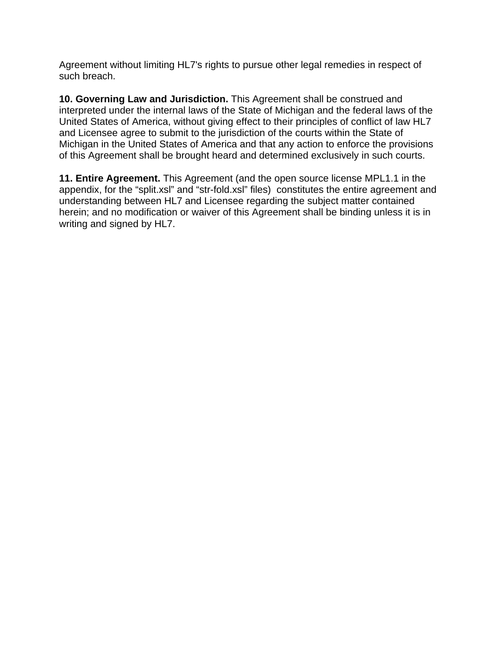Agreement without limiting HL7's rights to pursue other legal remedies in respect of such breach.

**10. Governing Law and Jurisdiction.** This Agreement shall be construed and interpreted under the internal laws of the State of Michigan and the federal laws of the United States of America, without giving effect to their principles of conflict of law HL7 and Licensee agree to submit to the jurisdiction of the courts within the State of Michigan in the United States of America and that any action to enforce the provisions of this Agreement shall be brought heard and determined exclusively in such courts.

**11. Entire Agreement.** This Agreement (and the open source license MPL1.1 in the appendix, for the "split.xsl" and "str-fold.xsl" files) constitutes the entire agreement and understanding between HL7 and Licensee regarding the subject matter contained herein; and no modification or waiver of this Agreement shall be binding unless it is in writing and signed by HL7.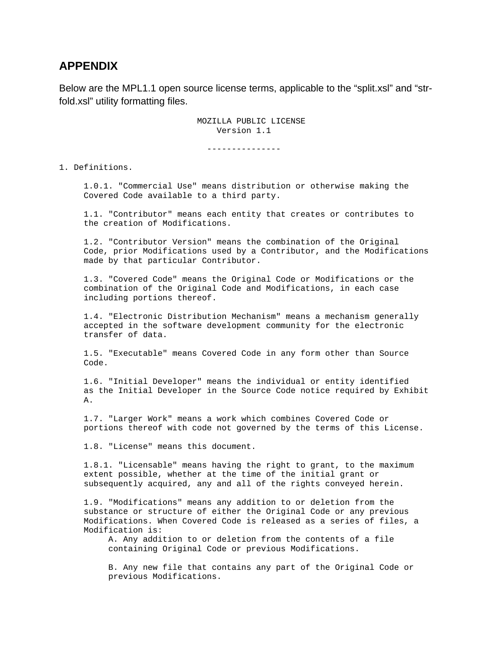# **APPENDIX**

Below are the MPL1.1 open source license terms, applicable to the "split.xsl" and "strfold.xsl" utility formatting files.

> MOZILLA PUBLIC LICENSE Version 1.1

> > ---------------

1. Definitions.

 1.0.1. "Commercial Use" means distribution or otherwise making the Covered Code available to a third party.

 1.1. "Contributor" means each entity that creates or contributes to the creation of Modifications.

 1.2. "Contributor Version" means the combination of the Original Code, prior Modifications used by a Contributor, and the Modifications made by that particular Contributor.

 1.3. "Covered Code" means the Original Code or Modifications or the combination of the Original Code and Modifications, in each case including portions thereof.

 1.4. "Electronic Distribution Mechanism" means a mechanism generally accepted in the software development community for the electronic transfer of data.

 1.5. "Executable" means Covered Code in any form other than Source Code.

 1.6. "Initial Developer" means the individual or entity identified as the Initial Developer in the Source Code notice required by Exhibit A.

 1.7. "Larger Work" means a work which combines Covered Code or portions thereof with code not governed by the terms of this License.

1.8. "License" means this document.

 1.8.1. "Licensable" means having the right to grant, to the maximum extent possible, whether at the time of the initial grant or subsequently acquired, any and all of the rights conveyed herein.

 1.9. "Modifications" means any addition to or deletion from the substance or structure of either the Original Code or any previous Modifications. When Covered Code is released as a series of files, a Modification is:

 A. Any addition to or deletion from the contents of a file containing Original Code or previous Modifications.

 B. Any new file that contains any part of the Original Code or previous Modifications.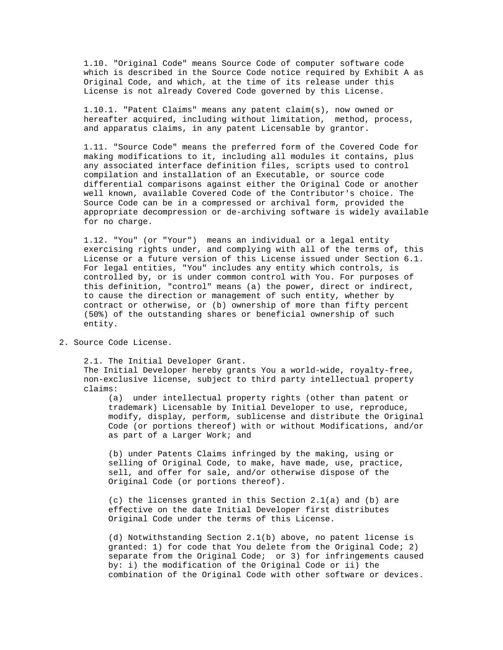1.10. "Original Code" means Source Code of computer software code which is described in the Source Code notice required by Exhibit A as Original Code, and which, at the time of its release under this License is not already Covered Code governed by this License.

 1.10.1. "Patent Claims" means any patent claim(s), now owned or hereafter acquired, including without limitation, method, process, and apparatus claims, in any patent Licensable by grantor.

 1.11. "Source Code" means the preferred form of the Covered Code for making modifications to it, including all modules it contains, plus any associated interface definition files, scripts used to control compilation and installation of an Executable, or source code differential comparisons against either the Original Code or another well known, available Covered Code of the Contributor's choice. The Source Code can be in a compressed or archival form, provided the appropriate decompression or de-archiving software is widely available for no charge.

 1.12. "You" (or "Your") means an individual or a legal entity exercising rights under, and complying with all of the terms of, this License or a future version of this License issued under Section 6.1. For legal entities, "You" includes any entity which controls, is controlled by, or is under common control with You. For purposes of this definition, "control" means (a) the power, direct or indirect, to cause the direction or management of such entity, whether by contract or otherwise, or (b) ownership of more than fifty percent (50%) of the outstanding shares or beneficial ownership of such entity.

2. Source Code License.

 2.1. The Initial Developer Grant. The Initial Developer hereby grants You a world-wide, royalty-free, non-exclusive license, subject to third party intellectual property claims:

 (a) under intellectual property rights (other than patent or trademark) Licensable by Initial Developer to use, reproduce, modify, display, perform, sublicense and distribute the Original Code (or portions thereof) with or without Modifications, and/or as part of a Larger Work; and

 (b) under Patents Claims infringed by the making, using or selling of Original Code, to make, have made, use, practice, sell, and offer for sale, and/or otherwise dispose of the Original Code (or portions thereof).

 (c) the licenses granted in this Section 2.1(a) and (b) are effective on the date Initial Developer first distributes Original Code under the terms of this License.

 (d) Notwithstanding Section 2.1(b) above, no patent license is granted: 1) for code that You delete from the Original Code; 2) separate from the Original Code; or 3) for infringements caused by: i) the modification of the Original Code or ii) the combination of the Original Code with other software or devices.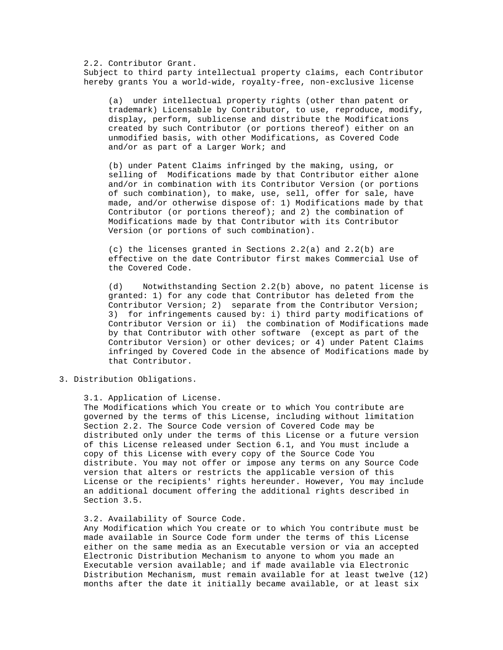2.2. Contributor Grant. Subject to third party intellectual property claims, each Contributor hereby grants You a world-wide, royalty-free, non-exclusive license

 (a) under intellectual property rights (other than patent or trademark) Licensable by Contributor, to use, reproduce, modify, display, perform, sublicense and distribute the Modifications created by such Contributor (or portions thereof) either on an unmodified basis, with other Modifications, as Covered Code and/or as part of a Larger Work; and

 (b) under Patent Claims infringed by the making, using, or selling of Modifications made by that Contributor either alone and/or in combination with its Contributor Version (or portions of such combination), to make, use, sell, offer for sale, have made, and/or otherwise dispose of: 1) Modifications made by that Contributor (or portions thereof); and 2) the combination of Modifications made by that Contributor with its Contributor Version (or portions of such combination).

 (c) the licenses granted in Sections 2.2(a) and 2.2(b) are effective on the date Contributor first makes Commercial Use of the Covered Code.

 (d) Notwithstanding Section 2.2(b) above, no patent license is granted: 1) for any code that Contributor has deleted from the Contributor Version; 2) separate from the Contributor Version; 3) for infringements caused by: i) third party modifications of Contributor Version or ii) the combination of Modifications made by that Contributor with other software (except as part of the Contributor Version) or other devices; or 4) under Patent Claims infringed by Covered Code in the absence of Modifications made by that Contributor.

3. Distribution Obligations.

#### 3.1. Application of License.

 The Modifications which You create or to which You contribute are governed by the terms of this License, including without limitation Section 2.2. The Source Code version of Covered Code may be distributed only under the terms of this License or a future version of this License released under Section 6.1, and You must include a copy of this License with every copy of the Source Code You distribute. You may not offer or impose any terms on any Source Code version that alters or restricts the applicable version of this License or the recipients' rights hereunder. However, You may include an additional document offering the additional rights described in Section 3.5.

# 3.2. Availability of Source Code.

 Any Modification which You create or to which You contribute must be made available in Source Code form under the terms of this License either on the same media as an Executable version or via an accepted Electronic Distribution Mechanism to anyone to whom you made an Executable version available; and if made available via Electronic Distribution Mechanism, must remain available for at least twelve (12) months after the date it initially became available, or at least six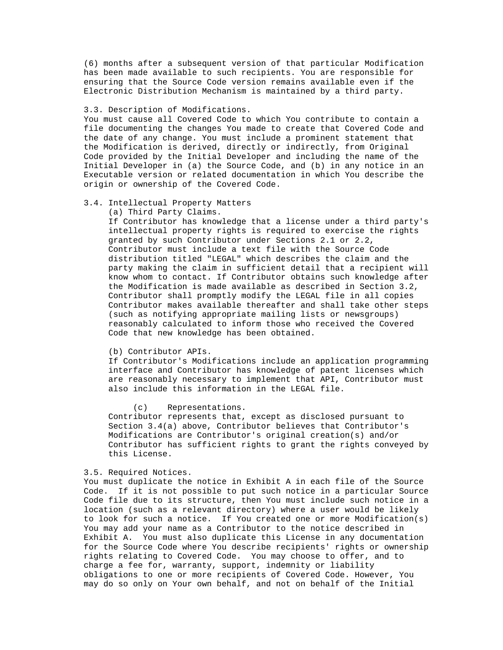(6) months after a subsequent version of that particular Modification has been made available to such recipients. You are responsible for ensuring that the Source Code version remains available even if the Electronic Distribution Mechanism is maintained by a third party.

# 3.3. Description of Modifications.

 You must cause all Covered Code to which You contribute to contain a file documenting the changes You made to create that Covered Code and the date of any change. You must include a prominent statement that the Modification is derived, directly or indirectly, from Original Code provided by the Initial Developer and including the name of the Initial Developer in (a) the Source Code, and (b) in any notice in an Executable version or related documentation in which You describe the origin or ownership of the Covered Code.

# 3.4. Intellectual Property Matters

#### (a) Third Party Claims.

 If Contributor has knowledge that a license under a third party's intellectual property rights is required to exercise the rights granted by such Contributor under Sections 2.1 or 2.2, Contributor must include a text file with the Source Code distribution titled "LEGAL" which describes the claim and the party making the claim in sufficient detail that a recipient will know whom to contact. If Contributor obtains such knowledge after the Modification is made available as described in Section 3.2, Contributor shall promptly modify the LEGAL file in all copies Contributor makes available thereafter and shall take other steps (such as notifying appropriate mailing lists or newsgroups) reasonably calculated to inform those who received the Covered Code that new knowledge has been obtained.

# (b) Contributor APIs.

 If Contributor's Modifications include an application programming interface and Contributor has knowledge of patent licenses which are reasonably necessary to implement that API, Contributor must also include this information in the LEGAL file.

#### (c) Representations.

 Contributor represents that, except as disclosed pursuant to Section 3.4(a) above, Contributor believes that Contributor's Modifications are Contributor's original creation(s) and/or Contributor has sufficient rights to grant the rights conveyed by this License.

## 3.5. Required Notices.

 You must duplicate the notice in Exhibit A in each file of the Source Code. If it is not possible to put such notice in a particular Source Code file due to its structure, then You must include such notice in a location (such as a relevant directory) where a user would be likely to look for such a notice. If You created one or more Modification(s) You may add your name as a Contributor to the notice described in Exhibit A. You must also duplicate this License in any documentation for the Source Code where You describe recipients' rights or ownership rights relating to Covered Code. You may choose to offer, and to charge a fee for, warranty, support, indemnity or liability obligations to one or more recipients of Covered Code. However, You may do so only on Your own behalf, and not on behalf of the Initial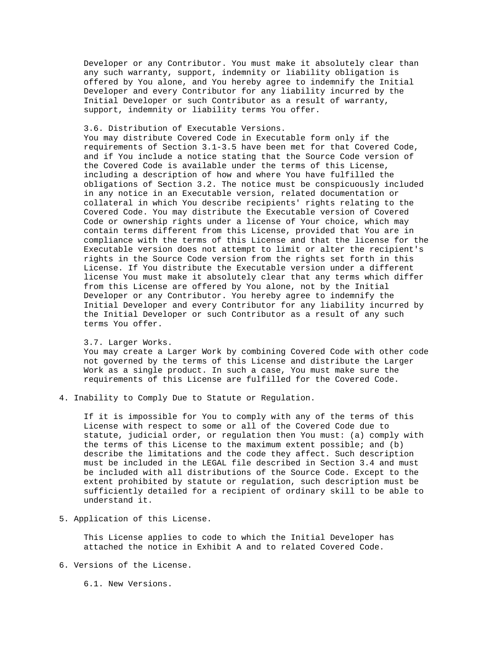Developer or any Contributor. You must make it absolutely clear than any such warranty, support, indemnity or liability obligation is offered by You alone, and You hereby agree to indemnify the Initial Developer and every Contributor for any liability incurred by the Initial Developer or such Contributor as a result of warranty, support, indemnity or liability terms You offer.

# 3.6. Distribution of Executable Versions.

 You may distribute Covered Code in Executable form only if the requirements of Section 3.1-3.5 have been met for that Covered Code, and if You include a notice stating that the Source Code version of the Covered Code is available under the terms of this License, including a description of how and where You have fulfilled the obligations of Section 3.2. The notice must be conspicuously included in any notice in an Executable version, related documentation or collateral in which You describe recipients' rights relating to the Covered Code. You may distribute the Executable version of Covered Code or ownership rights under a license of Your choice, which may contain terms different from this License, provided that You are in compliance with the terms of this License and that the license for the Executable version does not attempt to limit or alter the recipient's rights in the Source Code version from the rights set forth in this License. If You distribute the Executable version under a different license You must make it absolutely clear that any terms which differ from this License are offered by You alone, not by the Initial Developer or any Contributor. You hereby agree to indemnify the Initial Developer and every Contributor for any liability incurred by the Initial Developer or such Contributor as a result of any such terms You offer.

# 3.7. Larger Works.

 You may create a Larger Work by combining Covered Code with other code not governed by the terms of this License and distribute the Larger Work as a single product. In such a case, You must make sure the requirements of this License are fulfilled for the Covered Code.

4. Inability to Comply Due to Statute or Regulation.

 If it is impossible for You to comply with any of the terms of this License with respect to some or all of the Covered Code due to statute, judicial order, or regulation then You must: (a) comply with the terms of this License to the maximum extent possible; and (b) describe the limitations and the code they affect. Such description must be included in the LEGAL file described in Section 3.4 and must be included with all distributions of the Source Code. Except to the extent prohibited by statute or regulation, such description must be sufficiently detailed for a recipient of ordinary skill to be able to understand it.

5. Application of this License.

 This License applies to code to which the Initial Developer has attached the notice in Exhibit A and to related Covered Code.

6. Versions of the License.

6.1. New Versions.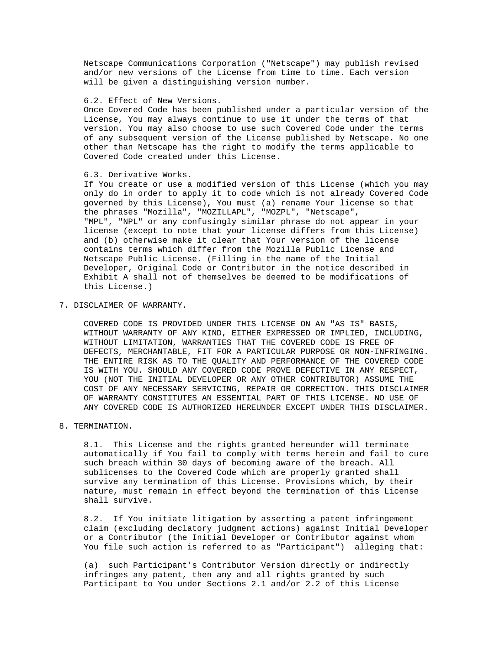Netscape Communications Corporation ("Netscape") may publish revised and/or new versions of the License from time to time. Each version will be given a distinguishing version number.

#### 6.2. Effect of New Versions.

 Once Covered Code has been published under a particular version of the License, You may always continue to use it under the terms of that version. You may also choose to use such Covered Code under the terms of any subsequent version of the License published by Netscape. No one other than Netscape has the right to modify the terms applicable to Covered Code created under this License.

#### 6.3. Derivative Works.

 If You create or use a modified version of this License (which you may only do in order to apply it to code which is not already Covered Code governed by this License), You must (a) rename Your license so that the phrases "Mozilla", "MOZILLAPL", "MOZPL", "Netscape", "MPL", "NPL" or any confusingly similar phrase do not appear in your license (except to note that your license differs from this License) and (b) otherwise make it clear that Your version of the license contains terms which differ from the Mozilla Public License and Netscape Public License. (Filling in the name of the Initial Developer, Original Code or Contributor in the notice described in Exhibit A shall not of themselves be deemed to be modifications of this License.)

7. DISCLAIMER OF WARRANTY.

 COVERED CODE IS PROVIDED UNDER THIS LICENSE ON AN "AS IS" BASIS, WITHOUT WARRANTY OF ANY KIND, EITHER EXPRESSED OR IMPLIED, INCLUDING, WITHOUT LIMITATION, WARRANTIES THAT THE COVERED CODE IS FREE OF DEFECTS, MERCHANTABLE, FIT FOR A PARTICULAR PURPOSE OR NON-INFRINGING. THE ENTIRE RISK AS TO THE QUALITY AND PERFORMANCE OF THE COVERED CODE IS WITH YOU. SHOULD ANY COVERED CODE PROVE DEFECTIVE IN ANY RESPECT, YOU (NOT THE INITIAL DEVELOPER OR ANY OTHER CONTRIBUTOR) ASSUME THE COST OF ANY NECESSARY SERVICING, REPAIR OR CORRECTION. THIS DISCLAIMER OF WARRANTY CONSTITUTES AN ESSENTIAL PART OF THIS LICENSE. NO USE OF ANY COVERED CODE IS AUTHORIZED HEREUNDER EXCEPT UNDER THIS DISCLAIMER.

# 8. TERMINATION.

 8.1. This License and the rights granted hereunder will terminate automatically if You fail to comply with terms herein and fail to cure such breach within 30 days of becoming aware of the breach. All sublicenses to the Covered Code which are properly granted shall survive any termination of this License. Provisions which, by their nature, must remain in effect beyond the termination of this License shall survive.

 8.2. If You initiate litigation by asserting a patent infringement claim (excluding declatory judgment actions) against Initial Developer or a Contributor (the Initial Developer or Contributor against whom You file such action is referred to as "Participant") alleging that:

 (a) such Participant's Contributor Version directly or indirectly infringes any patent, then any and all rights granted by such Participant to You under Sections 2.1 and/or 2.2 of this License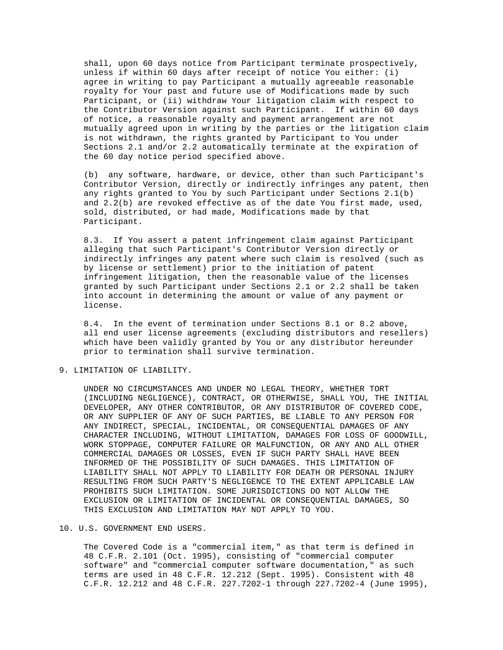shall, upon 60 days notice from Participant terminate prospectively, unless if within 60 days after receipt of notice You either: (i) agree in writing to pay Participant a mutually agreeable reasonable royalty for Your past and future use of Modifications made by such Participant, or (ii) withdraw Your litigation claim with respect to the Contributor Version against such Participant. If within 60 days of notice, a reasonable royalty and payment arrangement are not mutually agreed upon in writing by the parties or the litigation claim is not withdrawn, the rights granted by Participant to You under Sections 2.1 and/or 2.2 automatically terminate at the expiration of the 60 day notice period specified above.

 (b) any software, hardware, or device, other than such Participant's Contributor Version, directly or indirectly infringes any patent, then any rights granted to You by such Participant under Sections 2.1(b) and 2.2(b) are revoked effective as of the date You first made, used, sold, distributed, or had made, Modifications made by that Participant.

 8.3. If You assert a patent infringement claim against Participant alleging that such Participant's Contributor Version directly or indirectly infringes any patent where such claim is resolved (such as by license or settlement) prior to the initiation of patent infringement litigation, then the reasonable value of the licenses granted by such Participant under Sections 2.1 or 2.2 shall be taken into account in determining the amount or value of any payment or license.

 8.4. In the event of termination under Sections 8.1 or 8.2 above, all end user license agreements (excluding distributors and resellers) which have been validly granted by You or any distributor hereunder prior to termination shall survive termination.

9. LIMITATION OF LIABILITY.

 UNDER NO CIRCUMSTANCES AND UNDER NO LEGAL THEORY, WHETHER TORT (INCLUDING NEGLIGENCE), CONTRACT, OR OTHERWISE, SHALL YOU, THE INITIAL DEVELOPER, ANY OTHER CONTRIBUTOR, OR ANY DISTRIBUTOR OF COVERED CODE, OR ANY SUPPLIER OF ANY OF SUCH PARTIES, BE LIABLE TO ANY PERSON FOR ANY INDIRECT, SPECIAL, INCIDENTAL, OR CONSEQUENTIAL DAMAGES OF ANY CHARACTER INCLUDING, WITHOUT LIMITATION, DAMAGES FOR LOSS OF GOODWILL, WORK STOPPAGE, COMPUTER FAILURE OR MALFUNCTION, OR ANY AND ALL OTHER COMMERCIAL DAMAGES OR LOSSES, EVEN IF SUCH PARTY SHALL HAVE BEEN INFORMED OF THE POSSIBILITY OF SUCH DAMAGES. THIS LIMITATION OF LIABILITY SHALL NOT APPLY TO LIABILITY FOR DEATH OR PERSONAL INJURY RESULTING FROM SUCH PARTY'S NEGLIGENCE TO THE EXTENT APPLICABLE LAW PROHIBITS SUCH LIMITATION. SOME JURISDICTIONS DO NOT ALLOW THE EXCLUSION OR LIMITATION OF INCIDENTAL OR CONSEQUENTIAL DAMAGES, SO THIS EXCLUSION AND LIMITATION MAY NOT APPLY TO YOU.

#### 10. U.S. GOVERNMENT END USERS.

 The Covered Code is a "commercial item," as that term is defined in 48 C.F.R. 2.101 (Oct. 1995), consisting of "commercial computer software" and "commercial computer software documentation," as such terms are used in 48 C.F.R. 12.212 (Sept. 1995). Consistent with 48 C.F.R. 12.212 and 48 C.F.R. 227.7202-1 through 227.7202-4 (June 1995),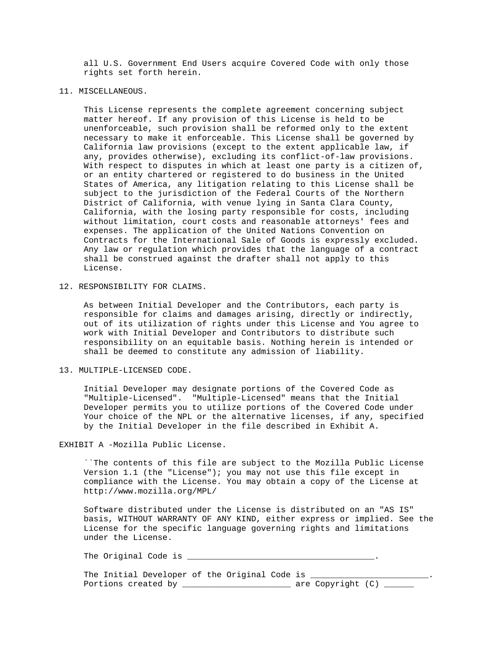all U.S. Government End Users acquire Covered Code with only those rights set forth herein.

11. MISCELLANEOUS.

 This License represents the complete agreement concerning subject matter hereof. If any provision of this License is held to be unenforceable, such provision shall be reformed only to the extent necessary to make it enforceable. This License shall be governed by California law provisions (except to the extent applicable law, if any, provides otherwise), excluding its conflict-of-law provisions. With respect to disputes in which at least one party is a citizen of, or an entity chartered or registered to do business in the United States of America, any litigation relating to this License shall be subject to the jurisdiction of the Federal Courts of the Northern District of California, with venue lying in Santa Clara County, California, with the losing party responsible for costs, including without limitation, court costs and reasonable attorneys' fees and expenses. The application of the United Nations Convention on Contracts for the International Sale of Goods is expressly excluded. Any law or regulation which provides that the language of a contract shall be construed against the drafter shall not apply to this License.

12. RESPONSIBILITY FOR CLAIMS.

 As between Initial Developer and the Contributors, each party is responsible for claims and damages arising, directly or indirectly, out of its utilization of rights under this License and You agree to work with Initial Developer and Contributors to distribute such responsibility on an equitable basis. Nothing herein is intended or shall be deemed to constitute any admission of liability.

13. MULTIPLE-LICENSED CODE.

 Initial Developer may designate portions of the Covered Code as "Multiple-Licensed". "Multiple-Licensed" means that the Initial Developer permits you to utilize portions of the Covered Code under Your choice of the NPL or the alternative licenses, if any, specified by the Initial Developer in the file described in Exhibit A.

EXHIBIT A -Mozilla Public License.

 ``The contents of this file are subject to the Mozilla Public License Version 1.1 (the "License"); you may not use this file except in compliance with the License. You may obtain a copy of the License at http://www.mozilla.org/MPL/

 Software distributed under the License is distributed on an "AS IS" basis, WITHOUT WARRANTY OF ANY KIND, either express or implied. See the License for the specific language governing rights and limitations under the License.

The Original Code is

|  |  | The Initial Developer of the Original Code is |  |  |               |  |
|--|--|-----------------------------------------------|--|--|---------------|--|
|  |  | Portions created by                           |  |  | are Copyright |  |